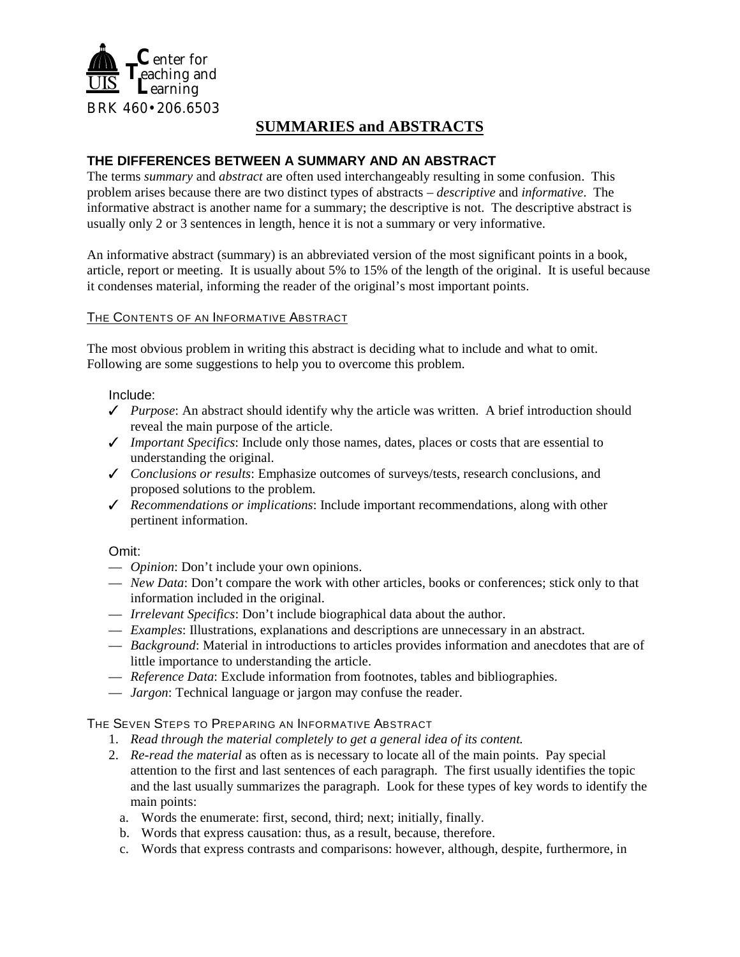

# **SUMMARIES and ABSTRACTS**

## **THE DIFFERENCES BETWEEN A SUMMARY AND AN ABSTRACT**

The terms *summary* and *abstract* are often used interchangeably resulting in some confusion. This problem arises because there are two distinct types of abstracts – *descriptive* and *informative*. The informative abstract is another name for a summary; the descriptive is not. The descriptive abstract is usually only 2 or 3 sentences in length, hence it is not a summary or very informative.

An informative abstract (summary) is an abbreviated version of the most significant points in a book, article, report or meeting. It is usually about 5% to 15% of the length of the original. It is useful because it condenses material, informing the reader of the original's most important points.

#### THE CONTENTS OF AN INFORMATIVE ABSTRACT

The most obvious problem in writing this abstract is deciding what to include and what to omit. Following are some suggestions to help you to overcome this problem.

#### Include:

- $\checkmark$  *Purpose*: An abstract should identify why the article was written. A brief introduction should reveal the main purpose of the article.
- $\blacklozenge$  *Important Specifics*: Include only those names, dates, places or costs that are essential to understanding the original.
- T *Conclusions or results*: Emphasize outcomes of surveys/tests, research conclusions, and proposed solutions to the problem.
- T *Recommendations or implications*: Include important recommendations, along with other pertinent information.

## Omit:

- *Opinion*: Don't include your own opinions.
- *New Data*: Don't compare the work with other articles, books or conferences; stick only to that information included in the original.
- *Irrelevant Specifics*: Don't include biographical data about the author.
- *Examples*: Illustrations, explanations and descriptions are unnecessary in an abstract.
- *Background*: Material in introductions to articles provides information and anecdotes that are of little importance to understanding the article.
- *Reference Data*: Exclude information from footnotes, tables and bibliographies.
- *Jargon*: Technical language or jargon may confuse the reader.

#### THE SEVEN STEPS TO PREPARING AN INFORMATIVE ABSTRACT

- 1. *Read through the material completely to get a general idea of its content.*
- 2. *Re-read the material* as often as is necessary to locate all of the main points. Pay special attention to the first and last sentences of each paragraph. The first usually identifies the topic and the last usually summarizes the paragraph. Look for these types of key words to identify the main points:
	- a. Words the enumerate: first, second, third; next; initially, finally.
	- b. Words that express causation: thus, as a result, because, therefore.
	- c. Words that express contrasts and comparisons: however, although, despite, furthermore, in